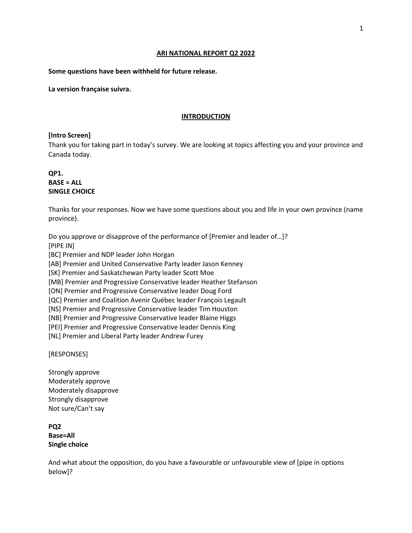#### **ARI NATIONAL REPORT Q2 2022**

### **Some questions have been withheld for future release.**

**La version française suivra.**

## **INTRODUCTION**

#### **[Intro Screen]**

Thank you for taking part in today's survey. We are looking at topics affecting you and your province and Canada today.

# **QP1. BASE = ALL SINGLE CHOICE**

Thanks for your responses. Now we have some questions about you and life in your own province (name province).

Do you approve or disapprove of the performance of [Premier and leader of…]? [PIPE IN] [BC] Premier and NDP leader John Horgan

[AB] Premier and United Conservative Party leader Jason Kenney

[SK] Premier and Saskatchewan Party leader Scott Moe

[MB] Premier and Progressive Conservative leader Heather Stefanson

[ON] Premier and Progressive Conservative leader Doug Ford

[QC] Premier and Coalition Avenir Québec leader François Legault

[NS] Premier and Progressive Conservative leader Tim Houston

[NB] Premier and Progressive Conservative leader Blaine Higgs

[PEI] Premier and Progressive Conservative leader Dennis King

[NL] Premier and Liberal Party leader Andrew Furey

[RESPONSES]

Strongly approve Moderately approve Moderately disapprove Strongly disapprove Not sure/Can't say

**PQ2 Base=All Single choice**

And what about the opposition, do you have a favourable or unfavourable view of [pipe in options below]?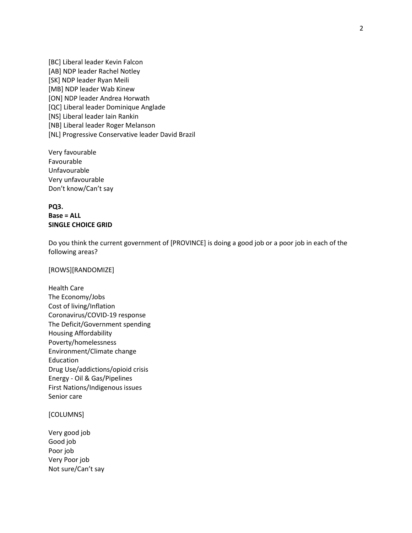[BC] Liberal leader Kevin Falcon [AB] NDP leader Rachel Notley [SK] NDP leader Ryan Meili [MB] NDP leader Wab Kinew [ON] NDP leader Andrea Horwath [QC] Liberal leader Dominique Anglade [NS] Liberal leader Iain Rankin [NB] Liberal leader Roger Melanson [NL] Progressive Conservative leader David Brazil

Very favourable Favourable Unfavourable Very unfavourable Don't know/Can't say

# **PQ3. Base = ALL SINGLE CHOICE GRID**

Do you think the current government of [PROVINCE] is doing a good job or a poor job in each of the following areas?

[ROWS][RANDOMIZE]

Health Care The Economy/Jobs Cost of living/Inflation Coronavirus/COVID-19 response The Deficit/Government spending Housing Affordability Poverty/homelessness Environment/Climate change Education Drug Use/addictions/opioid crisis Energy - Oil & Gas/Pipelines First Nations/Indigenous issues Senior care

## [COLUMNS]

Very good job Good job Poor job Very Poor job Not sure/Can't say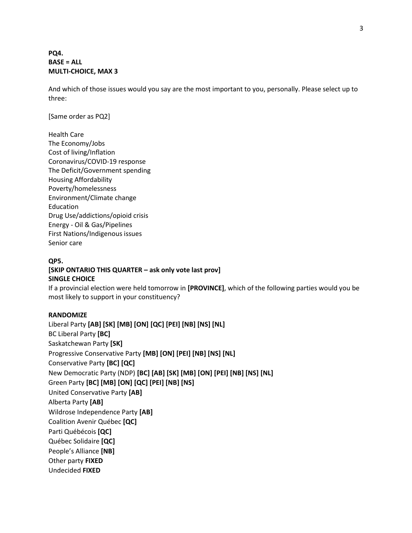# **PQ4. BASE = ALL MULTI-CHOICE, MAX 3**

And which of those issues would you say are the most important to you, personally. Please select up to three:

[Same order as PQ2]

Health Care The Economy/Jobs Cost of living/Inflation Coronavirus/COVID-19 response The Deficit/Government spending Housing Affordability Poverty/homelessness Environment/Climate change Education Drug Use/addictions/opioid crisis Energy - Oil & Gas/Pipelines First Nations/Indigenous issues Senior care

# **QP5. [SKIP ONTARIO THIS QUARTER – ask only vote last prov] SINGLE CHOICE**

If a provincial election were held tomorrow in **[PROVINCE]**, which of the following parties would you be most likely to support in your constituency?

# **RANDOMIZE**

Liberal Party **[AB] [SK] [MB] [ON] [QC] [PEI] [NB] [NS] [NL]** BC Liberal Party **[BC]** Saskatchewan Party **[SK]** Progressive Conservative Party **[MB] [ON] [PEI] [NB] [NS] [NL]** Conservative Party **[BC] [QC]** New Democratic Party (NDP) **[BC] [AB] [SK] [MB] [ON] [PEI] [NB] [NS] [NL]** Green Party **[BC] [MB] [ON] [QC] [PEI] [NB] [NS]** United Conservative Party **[AB]** Alberta Party **[AB]** Wildrose Independence Party **[AB]** Coalition Avenir Québec **[QC]** Parti Québécois **[QC]** Québec Solidaire **[QC]** People's Alliance **[NB]** Other party **FIXED** Undecided **FIXED**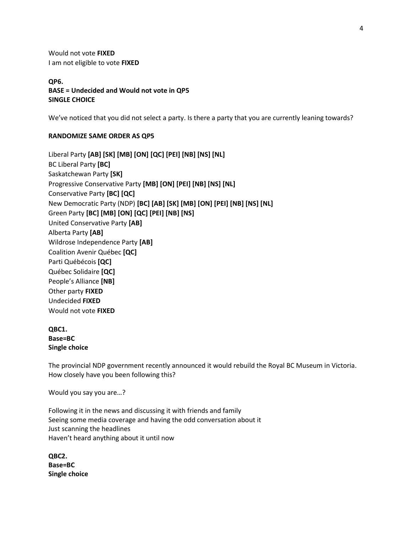Would not vote **FIXED** I am not eligible to vote **FIXED**

**QP6. BASE = Undecided and Would not vote in QP5 SINGLE CHOICE**

We've noticed that you did not select a party. Is there a party that you are currently leaning towards?

## **RANDOMIZE SAME ORDER AS QP5**

Liberal Party **[AB] [SK] [MB] [ON] [QC] [PEI] [NB] [NS] [NL]** BC Liberal Party **[BC]** Saskatchewan Party **[SK]** Progressive Conservative Party **[MB] [ON] [PEI] [NB] [NS] [NL]** Conservative Party **[BC] [QC]** New Democratic Party (NDP) **[BC] [AB] [SK] [MB] [ON] [PEI] [NB] [NS] [NL]** Green Party **[BC] [MB] [ON] [QC] [PEI] [NB] [NS]** United Conservative Party **[AB]** Alberta Party **[AB]** Wildrose Independence Party **[AB]** Coalition Avenir Québec **[QC]** Parti Québécois **[QC]** Québec Solidaire **[QC]** People's Alliance **[NB]** Other party **FIXED** Undecided **FIXED** Would not vote **FIXED**

# **QBC1. Base=BC Single choice**

The provincial NDP government recently announced it would rebuild the Royal BC Museum in Victoria. How closely have you been following this?

Would you say you are…?

Following it in the news and discussing it with friends and family Seeing some media coverage and having the odd conversation about it Just scanning the headlines Haven't heard anything about it until now

**QBC2. Base=BC Single choice**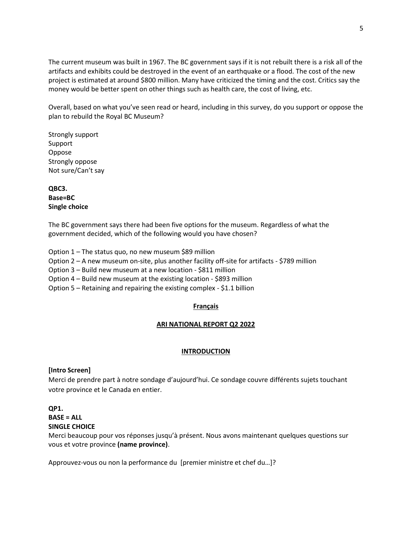The current museum was built in 1967. The BC government says if it is not rebuilt there is a risk all of the artifacts and exhibits could be destroyed in the event of an earthquake or a flood. The cost of the new project is estimated at around \$800 million. Many have criticized the timing and the cost. Critics say the money would be better spent on other things such as health care, the cost of living, etc.

Overall, based on what you've seen read or heard, including in this survey, do you support or oppose the plan to rebuild the Royal BC Museum?

Strongly support Support Oppose Strongly oppose Not sure/Can't say

**QBC3. Base=BC Single choice**

The BC government says there had been five options for the museum. Regardless of what the government decided, which of the following would you have chosen?

Option 1 – The status quo, no new museum \$89 million

Option 2 – A new museum on-site, plus another facility off-site for artifacts - \$789 million

Option 3 – Build new museum at a new location - \$811 million

Option 4 – Build new museum at the existing location - \$893 million

Option 5 – Retaining and repairing the existing complex - \$1.1 billion

# **Français**

#### **ARI NATIONAL REPORT Q2 2022**

# **INTRODUCTION**

# **[Intro Screen]**

Merci de prendre part à notre sondage d'aujourd'hui. Ce sondage couvre différents sujets touchant votre province et le Canada en entier.

# **QP1.**

**BASE = ALL**

#### **SINGLE CHOICE**

Merci beaucoup pour vos réponses jusqu'à présent. Nous avons maintenant quelques questions sur vous et votre province **(name province)**.

Approuvez-vous ou non la performance du [premier ministre et chef du…]?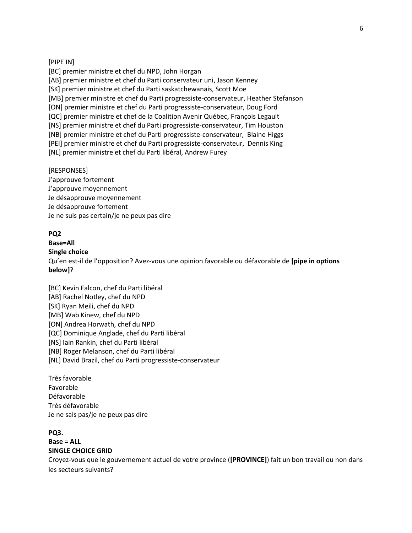#### [PIPE IN]

[BC] premier ministre et chef du NPD, John Horgan [AB] premier ministre et chef du Parti conservateur uni, Jason Kenney [SK] premier ministre et chef du Parti saskatchewanais, Scott Moe [MB] premier ministre et chef du Parti progressiste-conservateur, Heather Stefanson [ON] premier ministre et chef du Parti progressiste-conservateur, Doug Ford [QC] premier ministre et chef de la Coalition Avenir Québec, François Legault [NS] premier ministre et chef du Parti progressiste-conservateur, Tim Houston [NB] premier ministre et chef du Parti progressiste-conservateur, Blaine Higgs [PEI] premier ministre et chef du Parti progressiste-conservateur, Dennis King [NL] premier ministre et chef du Parti libéral, Andrew Furey

#### [RESPONSES]

J'approuve fortement J'approuve moyennement Je désapprouve moyennement Je désapprouve fortement Je ne suis pas certain/je ne peux pas dire

## **PQ2**

# **Base=All**

# **Single choice**

Qu'en est-il de l'opposition? Avez-vous une opinion favorable ou défavorable de **[pipe in options below]**?

[BC] Kevin Falcon, chef du Parti libéral [AB] Rachel Notley, chef du NPD [SK] Ryan Meili, chef du NPD [MB] Wab Kinew, chef du NPD [ON] Andrea Horwath, chef du NPD [QC] Dominique Anglade, chef du Parti libéral [NS] Iain Rankin, chef du Parti libéral [NB] Roger Melanson, chef du Parti libéral [NL] David Brazil, chef du Parti progressiste-conservateur

Très favorable Favorable Défavorable Très défavorable Je ne sais pas/je ne peux pas dire

### **PQ3.**

## **Base = ALL SINGLE CHOICE GRID**

Croyez-vous que le gouvernement actuel de votre province (**[PROVINCE]**) fait un bon travail ou non dans les secteurs suivants?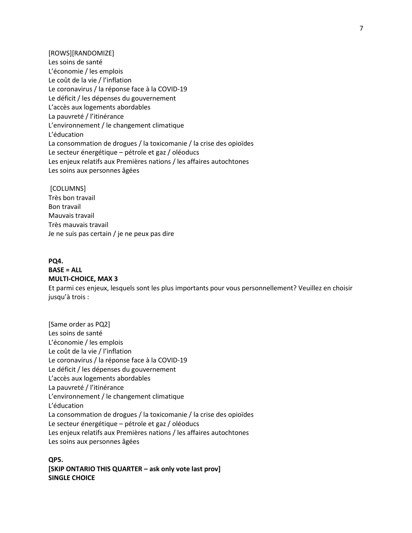[ROWS][RANDOMIZE] Les soins de santé L'économie / les emplois Le coût de la vie / l'inflation Le coronavirus / la réponse face à la COVID-19 Le déficit / les dépenses du gouvernement L'accès aux logements abordables La pauvreté / l'itinérance L'environnement / le changement climatique L'éducation La consommation de drogues / la toxicomanie / la crise des opioïdes Le secteur énergétique – pétrole et gaz / oléoducs Les enjeux relatifs aux Premières nations / les affaires autochtones Les soins aux personnes âgées

[COLUMNS] Très bon travail Bon travail Mauvais travail Très mauvais travail Je ne suis pas certain / je ne peux pas dire

# **PQ4. BASE = ALL MULTI-CHOICE, MAX 3**

Et parmi ces enjeux, lesquels sont les plus importants pour vous personnellement? Veuillez en choisir jusqu'à trois :

[Same order as PQ2] Les soins de santé L'économie / les emplois Le coût de la vie / l'inflation Le coronavirus / la réponse face à la COVID-19 Le déficit / les dépenses du gouvernement L'accès aux logements abordables La pauvreté / l'itinérance L'environnement / le changement climatique L'éducation La consommation de drogues / la toxicomanie / la crise des opioïdes Le secteur énergétique – pétrole et gaz / oléoducs Les enjeux relatifs aux Premières nations / les affaires autochtones Les soins aux personnes âgées

**QP5. [SKIP ONTARIO THIS QUARTER – ask only vote last prov] SINGLE CHOICE**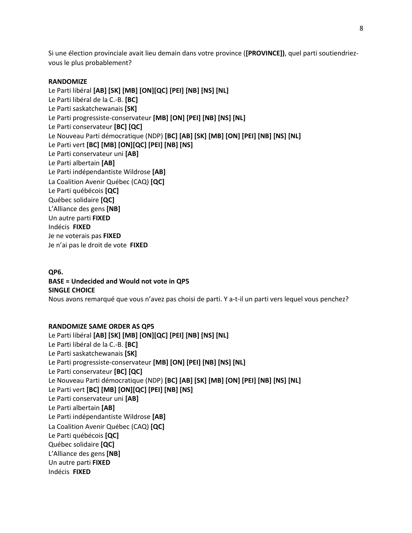Si une élection provinciale avait lieu demain dans votre province (**[PROVINCE])**, quel parti soutiendriezvous le plus probablement?

# **RANDOMIZE**

Le Parti libéral **[AB] [SK] [MB] [ON][QC] [PEI] [NB] [NS] [NL]** Le Parti libéral de la C.-B. **[BC]** Le Parti saskatchewanais **[SK]** Le Parti progressiste-conservateur **[MB] [ON] [PEI] [NB] [NS] [NL]** Le Parti conservateur **[BC] [QC]** Le Nouveau Parti démocratique (NDP) **[BC] [AB] [SK] [MB] [ON] [PEI] [NB] [NS] [NL]** Le Parti vert **[BC] [MB] [ON][QC] [PEI] [NB] [NS]** Le Parti conservateur uni **[AB]** Le Parti albertain **[AB]** Le Parti indépendantiste Wildrose **[AB]** La Coalition Avenir Québec (CAQ) **[QC]** Le Parti québécois **[QC]** Québec solidaire **[QC]** L'Alliance des gens **[NB]** Un autre parti **FIXED** Indécis **FIXED** Je ne voterais pas **FIXED** Je n'ai pas le droit de vote **FIXED**

# **QP6. BASE = Undecided and Would not vote in QP5 SINGLE CHOICE**

Nous avons remarqué que vous n'avez pas choisi de parti. Y a-t-il un parti vers lequel vous penchez?

# **RANDOMIZE SAME ORDER AS QP5**

Le Parti libéral **[AB] [SK] [MB] [ON][QC] [PEI] [NB] [NS] [NL]** Le Parti libéral de la C.-B. **[BC]** Le Parti saskatchewanais **[SK]** Le Parti progressiste-conservateur **[MB] [ON] [PEI] [NB] [NS] [NL]** Le Parti conservateur **[BC] [QC]** Le Nouveau Parti démocratique (NDP) **[BC] [AB] [SK] [MB] [ON] [PEI] [NB] [NS] [NL]** Le Parti vert **[BC] [MB] [ON][QC] [PEI] [NB] [NS]** Le Parti conservateur uni **[AB]** Le Parti albertain **[AB]** Le Parti indépendantiste Wildrose **[AB]** La Coalition Avenir Québec (CAQ) **[QC]** Le Parti québécois **[QC]** Québec solidaire **[QC]** L'Alliance des gens **[NB]** Un autre parti **FIXED** Indécis **FIXED**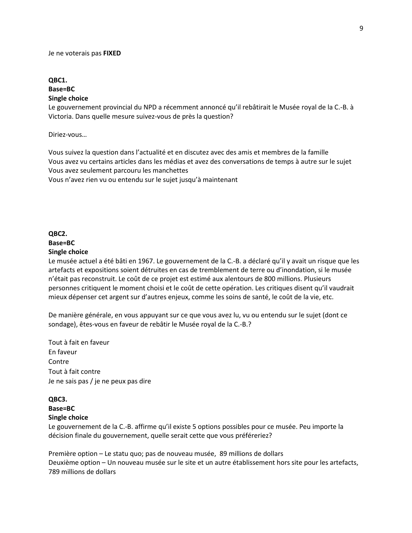#### Je ne voterais pas **FIXED**

## **QBC1. Base=BC Single choice**

Le gouvernement provincial du NPD a récemment annoncé qu'il rebâtirait le Musée royal de la C.-B. à Victoria. Dans quelle mesure suivez-vous de près la question?

Diriez-vous…

Vous suivez la question dans l'actualité et en discutez avec des amis et membres de la famille Vous avez vu certains articles dans les médias et avez des conversations de temps à autre sur le sujet Vous avez seulement parcouru les manchettes Vous n'avez rien vu ou entendu sur le sujet jusqu'à maintenant

# **QBC2. Base=BC Single choice**

Le musée actuel a été bâti en 1967. Le gouvernement de la C.-B. a déclaré qu'il y avait un risque que les artefacts et expositions soient détruites en cas de tremblement de terre ou d'inondation, si le musée n'était pas reconstruit. Le coût de ce projet est estimé aux alentours de 800 millions. Plusieurs personnes critiquent le moment choisi et le coût de cette opération. Les critiques disent qu'il vaudrait mieux dépenser cet argent sur d'autres enjeux, comme les soins de santé, le coût de la vie, etc.

De manière générale, en vous appuyant sur ce que vous avez lu, vu ou entendu sur le sujet (dont ce sondage), êtes-vous en faveur de rebâtir le Musée royal de la C.-B.?

Tout à fait en faveur En faveur Contre Tout à fait contre Je ne sais pas / je ne peux pas dire

#### **QBC3. Base=BC**

# **Single choice**

Le gouvernement de la C.-B. affirme qu'il existe 5 options possibles pour ce musée. Peu importe la décision finale du gouvernement, quelle serait cette que vous préféreriez?

Première option – Le statu quo; pas de nouveau musée, 89 millions de dollars Deuxième option – Un nouveau musée sur le site et un autre établissement hors site pour les artefacts, 789 millions de dollars